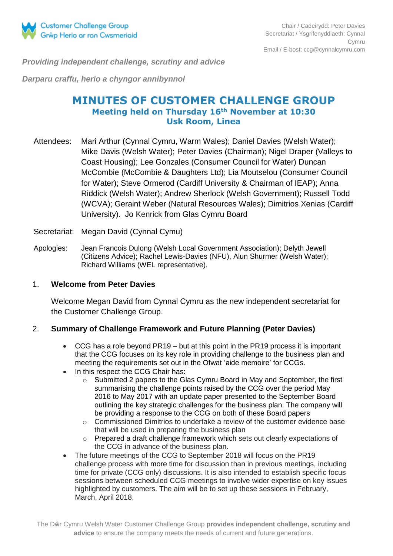

*Providing independent challenge, scrutiny and advice*

*Darparu craffu, herio a chyngor annibynnol*

# **MINUTES OF CUSTOMER CHALLENGE GROUP Meeting held on Thursday 16th November at 10:30 Usk Room, Linea**

- Attendees: Mari Arthur (Cynnal Cymru, Warm Wales); Daniel Davies (Welsh Water); Mike Davis (Welsh Water); Peter Davies (Chairman); Nigel Draper (Valleys to Coast Housing); Lee Gonzales (Consumer Council for Water) Duncan McCombie (McCombie & Daughters Ltd); Lia Moutselou (Consumer Council for Water); Steve Ormerod (Cardiff University & Chairman of IEAP); Anna Riddick (Welsh Water); Andrew Sherlock (Welsh Government); Russell Todd (WCVA); Geraint Weber (Natural Resources Wales); Dimitrios Xenias (Cardiff University). Jo Kenrick from Glas Cymru Board
- Secretariat: Megan David (Cynnal Cymu)
- Apologies: Jean Francois Dulong (Welsh Local Government Association); Delyth Jewell (Citizens Advice); Rachel Lewis-Davies (NFU), Alun Shurmer (Welsh Water); Richard Williams (WEL representative).

#### 1. **Welcome from Peter Davies**

Welcome Megan David from Cynnal Cymru as the new independent secretariat for the Customer Challenge Group.

#### 2. **Summary of Challenge Framework and Future Planning (Peter Davies)**

- CCG has a role beyond PR19 but at this point in the PR19 process it is important that the CCG focuses on its key role in providing challenge to the business plan and meeting the requirements set out in the Ofwat 'aide memoire' for CCGs.
- In this respect the CCG Chair has:
	- o Submitted 2 papers to the Glas Cymru Board in May and September, the first summarising the challenge points raised by the CCG over the period May 2016 to May 2017 with an update paper presented to the September Board outlining the key strategic challenges for the business plan. The company will be providing a response to the CCG on both of these Board papers
	- o Commissioned Dimitrios to undertake a review of the customer evidence base that will be used in preparing the business plan
	- o Prepared a draft challenge framework which sets out clearly expectations of the CCG in advance of the business plan.
- The future meetings of the CCG to September 2018 will focus on the PR19 challenge process with more time for discussion than in previous meetings, including time for private (CCG only) discussions. It is also intended to establish specific focus sessions between scheduled CCG meetings to involve wider expertise on key issues highlighted by customers. The aim will be to set up these sessions in February, March, April 2018.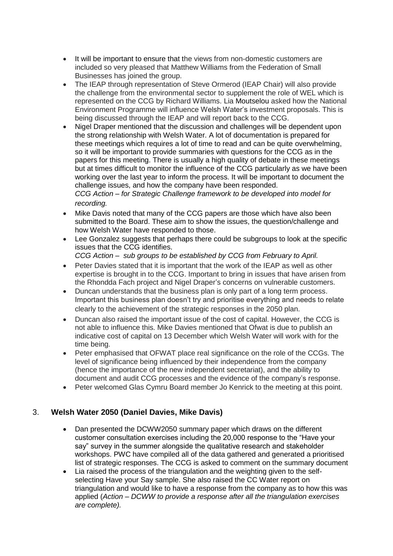- It will be important to ensure that the views from non-domestic customers are included so very pleased that Matthew Williams from the Federation of Small Businesses has joined the group.
- The IEAP through representation of Steve Ormerod (IEAP Chair) will also provide the challenge from the environmental sector to supplement the role of WEL which is represented on the CCG by Richard Williams. Lia Moutselou asked how the National Environment Programme will influence Welsh Water's investment proposals. This is being discussed through the IEAP and will report back to the CCG.
- Nigel Draper mentioned that the discussion and challenges will be dependent upon the strong relationship with Welsh Water. A lot of documentation is prepared for these meetings which requires a lot of time to read and can be quite overwhelming, so it will be important to provide summaries with questions for the CCG as in the papers for this meeting. There is usually a high quality of debate in these meetings but at times difficult to monitor the influence of the CCG particularly as we have been working over the last year to inform the process. It will be important to document the challenge issues, and how the company have been responded.

*CCG Action – for Strategic Challenge framework to be developed into model for recording.*

- Mike Davis noted that many of the CCG papers are those which have also been submitted to the Board. These aim to show the issues, the question/challenge and how Welsh Water have responded to those.
- Lee Gonzalez suggests that perhaps there could be subgroups to look at the specific issues that the CCG identifies.

*CCG Action – sub groups to be established by CCG from February to April.*

- Peter Davies stated that it is important that the work of the IEAP as well as other expertise is brought in to the CCG. Important to bring in issues that have arisen from the Rhondda Fach project and Nigel Draper's concerns on vulnerable customers.
- Duncan understands that the business plan is only part of a long term process. Important this business plan doesn't try and prioritise everything and needs to relate clearly to the achievement of the strategic responses in the 2050 plan.
- Duncan also raised the important issue of the cost of capital. However, the CCG is not able to influence this. Mike Davies mentioned that Ofwat is due to publish an indicative cost of capital on 13 December which Welsh Water will work with for the time being.
- Peter emphasised that OFWAT place real significance on the role of the CCGs. The level of significance being influenced by their independence from the company (hence the importance of the new independent secretariat), and the ability to document and audit CCG processes and the evidence of the company's response.
- Peter welcomed Glas Cymru Board member Jo Kenrick to the meeting at this point.

# 3. **Welsh Water 2050 (Daniel Davies, Mike Davis)**

- Dan presented the DCWW2050 summary paper which draws on the different customer consultation exercises including the 20,000 response to the "Have your say" survey in the summer alongside the qualitative research and stakeholder workshops. PWC have compiled all of the data gathered and generated a prioritised list of strategic responses. The CCG is asked to comment on the summary document
- Lia raised the process of the triangulation and the weighting given to the selfselecting Have your Say sample. She also raised the CC Water report on triangulation and would like to have a response from the company as to how this was applied (*Action – DCWW to provide a response after all the triangulation exercises are complete).*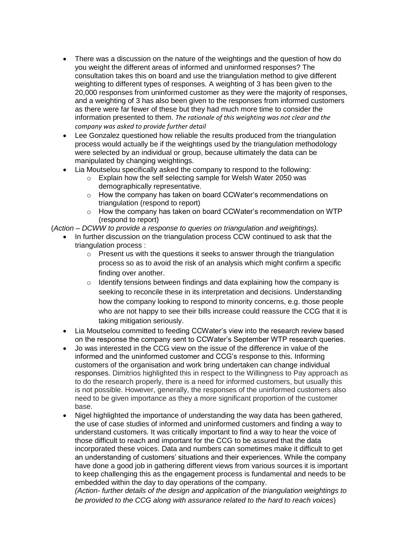- There was a discussion on the nature of the weightings and the question of how do you weight the different areas of informed and uninformed responses? The consultation takes this on board and use the triangulation method to give different weighting to different types of responses. A weighting of 3 has been given to the 20,000 responses from uninformed customer as they were the majority of responses, and a weighting of 3 has also been given to the responses from informed customers as there were far fewer of these but they had much more time to consider the information presented to them. *The rationale of this weighting was not clear and the company was asked to provide further detail*
- Lee Gonzalez questioned how reliable the results produced from the triangulation process would actually be if the weightings used by the triangulation methodology were selected by an individual or group, because ultimately the data can be manipulated by changing weightings.
- Lia Moutselou specifically asked the company to respond to the following:
	- o Explain how the self selecting sample for Welsh Water 2050 was demographically representative.
	- o How the company has taken on board CCWater's recommendations on triangulation (respond to report)
	- $\circ$  How the company has taken on board CCWater's recommendation on WTP (respond to report)
- (*Action – DCWW to provide a response to queries on triangulation and weightings).*
	- In further discussion on the triangulation process CCW continued to ask that the triangulation process :
		- $\circ$  Present us with the questions it seeks to answer through the triangulation process so as to avoid the risk of an analysis which might confirm a specific finding over another.
		- o Identify tensions between findings and data explaining how the company is seeking to reconcile these in its interpretation and decisions. Understanding how the company looking to respond to minority concerns, e.g. those people who are not happy to see their bills increase could reassure the CCG that it is taking mitigation seriously.
	- Lia Moutselou committed to feeding CCWater's view into the research review based on the response the company sent to CCWater's September WTP research queries.
	- Jo was interested in the CCG view on the issue of the difference in value of the informed and the uninformed customer and CCG's response to this. Informing customers of the organisation and work bring undertaken can change individual responses. Dimitrios highlighted this in respect to the Willingness to Pay approach as to do the research properly, there is a need for informed customers, but usually this is not possible. However, generally, the responses of the uninformed customers also need to be given importance as they a more significant proportion of the customer base.
	- Nigel highlighted the importance of understanding the way data has been gathered, the use of case studies of informed and uninformed customers and finding a way to understand customers. It was critically important to find a way to hear the voice of those difficult to reach and important for the CCG to be assured that the data incorporated these voices. Data and numbers can sometimes make it difficult to get an understanding of customers' situations and their experiences. While the company have done a good job in gathering different views from various sources it is important to keep challenging this as the engagement process is fundamental and needs to be embedded within the day to day operations of the company.

*(Action- further details of the design and application of the triangulation weightings to be provided to the CCG along with assurance related to the hard to reach voices*)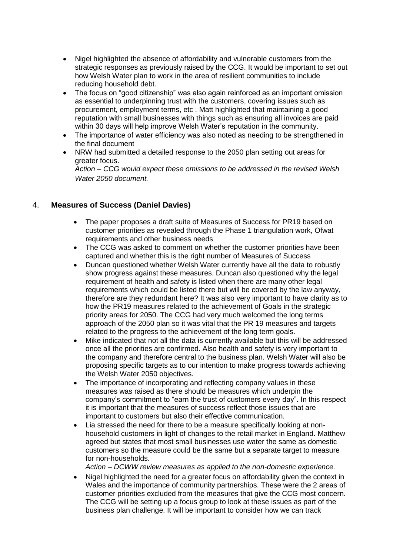- Nigel highlighted the absence of affordability and vulnerable customers from the strategic responses as previously raised by the CCG. It would be important to set out how Welsh Water plan to work in the area of resilient communities to include reducing household debt.
- The focus on "good citizenship" was also again reinforced as an important omission as essential to underpinning trust with the customers, covering issues such as procurement, employment terms, etc . Matt highlighted that maintaining a good reputation with small businesses with things such as ensuring all invoices are paid within 30 days will help improve Welsh Water's reputation in the community.
- The importance of water efficiency was also noted as needing to be strengthened in the final document
- NRW had submitted a detailed response to the 2050 plan setting out areas for greater focus.

*Action – CCG would expect these omissions to be addressed in the revised Welsh Water 2050 document.*

### 4. **Measures of Success (Daniel Davies)**

- The paper proposes a draft suite of Measures of Success for PR19 based on customer priorities as revealed through the Phase 1 triangulation work, Ofwat requirements and other business needs
- The CCG was asked to comment on whether the customer priorities have been captured and whether this is the right number of Measures of Success
- Duncan questioned whether Welsh Water currently have all the data to robustly show progress against these measures. Duncan also questioned why the legal requirement of health and safety is listed when there are many other legal requirements which could be listed there but will be covered by the law anyway, therefore are they redundant here? It was also very important to have clarity as to how the PR19 measures related to the achievement of Goals in the strategic priority areas for 2050. The CCG had very much welcomed the long terms approach of the 2050 plan so it was vital that the PR 19 measures and targets related to the progress to the achievement of the long term goals.
- Mike indicated that not all the data is currently available but this will be addressed once all the priorities are confirmed. Also health and safety is very important to the company and therefore central to the business plan. Welsh Water will also be proposing specific targets as to our intention to make progress towards achieving the Welsh Water 2050 objectives.
- The importance of incorporating and reflecting company values in these measures was raised as there should be measures which underpin the company's commitment to "earn the trust of customers every day". In this respect it is important that the measures of success reflect those issues that are important to customers but also their effective communication.
- Lia stressed the need for there to be a measure specifically looking at nonhousehold customers in light of changes to the retail market in England. Matthew agreed but states that most small businesses use water the same as domestic customers so the measure could be the same but a separate target to measure for non-households.

*Action – DCWW review measures as applied to the non-domestic experience.*

 Nigel highlighted the need for a greater focus on affordability given the context in Wales and the importance of community partnerships. These were the 2 areas of customer priorities excluded from the measures that give the CCG most concern. The CCG will be setting up a focus group to look at these issues as part of the business plan challenge. It will be important to consider how we can track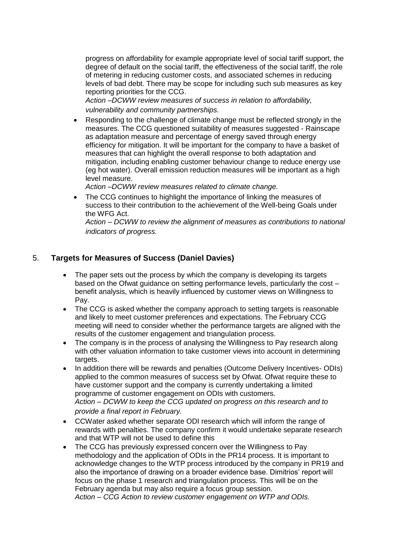progress on affordability for example appropriate level of social tariff support, the degree of default on the social tariff, the effectiveness of the social tariff, the role of metering in reducing customer costs, and associated schemes in reducing levels of bad debt. There may be scope for including such sub measures as key reporting priorities for the CCG.

*Action –DCWW review measures of success in relation to affordability, vulnerability and community partnerships.*

 Responding to the challenge of climate change must be reflected strongly in the measures. The CCG questioned suitability of measures suggested - Rainscape as adaptation measure and percentage of energy saved through energy efficiency for mitigation. It will be important for the company to have a basket of measures that can highlight the overall response to both adaptation and mitigation, including enabling customer behaviour change to reduce energy use (eg hot water). Overall emission reduction measures will be important as a high level measure.

*Action –DCWW review measures related to climate change.*

 The CCG continues to highlight the importance of linking the measures of success to their contribution to the achievement of the Well-being Goals under the WFG Act.

*Action – DCWW to review the alignment of measures as contributions to national indicators of progress.*

### 5. **Targets for Measures of Success (Daniel Davies)**

- The paper sets out the process by which the company is developing its targets based on the Ofwat guidance on setting performance levels, particularly the cost – benefit analysis, which is heavily influenced by customer views on Willingness to Pay.
- The CCG is asked whether the company approach to setting targets is reasonable and likely to meet customer preferences and expectations. The February CCG meeting will need to consider whether the performance targets are aligned with the results of the customer engagement and triangulation process.
- The company is in the process of analysing the Willingness to Pay research along with other valuation information to take customer views into account in determining targets.
- In addition there will be rewards and penalties (Outcome Delivery Incentives- ODIs) applied to the common measures of success set by Ofwat. Ofwat require these to have customer support and the company is currently undertaking a limited programme of customer engagement on ODIs with customers. *Action – DCWW to keep the CCG updated on progress on this research and to provide a final report in February.*
- CCWater asked whether separate ODI research which will inform the range of rewards with penalties. The company confirm it would undertake separate research and that WTP will not be used to define this
- The CCG has previously expressed concern over the Willingness to Pay methodology and the application of ODIs in the PR14 process. It is important to acknowledge changes to the WTP process introduced by the company in PR19 and also the importance of drawing on a broader evidence base. Dimitrios' report will focus on the phase 1 research and triangulation process. This will be on the February agenda but may also require a focus group session. *Action – CCG Action to review customer engagement on WTP and ODIs.*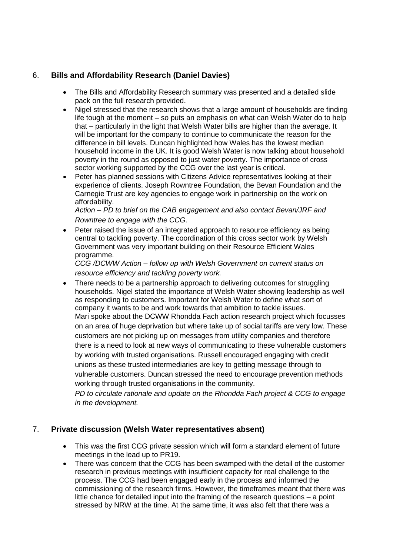## 6. **Bills and Affordability Research (Daniel Davies)**

- The Bills and Affordability Research summary was presented and a detailed slide pack on the full research provided.
- Nigel stressed that the research shows that a large amount of households are finding life tough at the moment – so puts an emphasis on what can Welsh Water do to help that – particularly in the light that Welsh Water bills are higher than the average. It will be important for the company to continue to communicate the reason for the difference in bill levels. Duncan highlighted how Wales has the lowest median household income in the UK. It is good Welsh Water is now talking about household poverty in the round as opposed to just water poverty. The importance of cross sector working supported by the CCG over the last year is critical.
- Peter has planned sessions with Citizens Advice representatives looking at their experience of clients. Joseph Rowntree Foundation, the Bevan Foundation and the Carnegie Trust are key agencies to engage work in partnership on the work on affordability.

*Action – PD to brief on the CAB engagement and also contact Bevan/JRF and Rowntree to engage with the CCG.*

 Peter raised the issue of an integrated approach to resource efficiency as being central to tackling poverty. The coordination of this cross sector work by Welsh Government was very important building on their Resource Efficient Wales programme.

*CCG /DCWW Action – follow up with Welsh Government on current status on resource efficiency and tackling poverty work.*

 There needs to be a partnership approach to delivering outcomes for struggling households. Nigel stated the importance of Welsh Water showing leadership as well as responding to customers. Important for Welsh Water to define what sort of company it wants to be and work towards that ambition to tackle issues. Mari spoke about the DCWW Rhondda Fach action research project which focusses on an area of huge deprivation but where take up of social tariffs are very low. These customers are not picking up on messages from utility companies and therefore there is a need to look at new ways of communicating to these vulnerable customers by working with trusted organisations. Russell encouraged engaging with credit unions as these trusted intermediaries are key to getting message through to vulnerable customers. Duncan stressed the need to encourage prevention methods working through trusted organisations in the community.

*PD to circulate rationale and update on the Rhondda Fach project & CCG to engage in the development.*

#### 7. **Private discussion (Welsh Water representatives absent)**

- This was the first CCG private session which will form a standard element of future meetings in the lead up to PR19.
- There was concern that the CCG has been swamped with the detail of the customer research in previous meetings with insufficient capacity for real challenge to the process. The CCG had been engaged early in the process and informed the commissioning of the research firms. However, the timeframes meant that there was little chance for detailed input into the framing of the research questions – a point stressed by NRW at the time. At the same time, it was also felt that there was a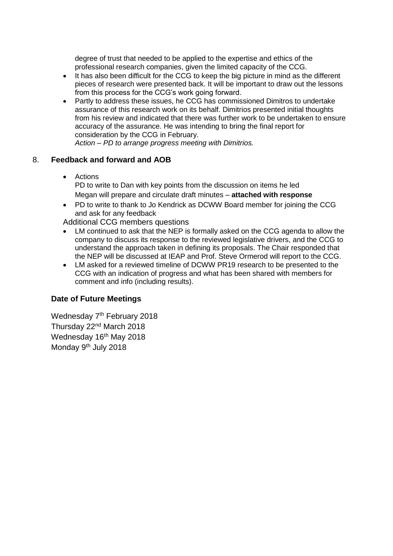degree of trust that needed to be applied to the expertise and ethics of the professional research companies, given the limited capacity of the CCG.

- It has also been difficult for the CCG to keep the big picture in mind as the different pieces of research were presented back. It will be important to draw out the lessons from this process for the CCG's work going forward.
- Partly to address these issues, he CCG has commissioned Dimitros to undertake assurance of this research work on its behalf. Dimitrios presented initial thoughts from his review and indicated that there was further work to be undertaken to ensure accuracy of the assurance. He was intending to bring the final report for consideration by the CCG in February. *Action – PD to arrange progress meeting with Dimitrios.*

8. **Feedback and forward and AOB**

- Actions PD to write to Dan with key points from the discussion on items he led Megan will prepare and circulate draft minutes – **attached with response**
- PD to write to thank to Jo Kendrick as DCWW Board member for joining the CCG and ask for any feedback

Additional CCG members questions

- LM continued to ask that the NEP is formally asked on the CCG agenda to allow the company to discuss its response to the reviewed legislative drivers, and the CCG to understand the approach taken in defining its proposals. The Chair responded that the NEP will be discussed at IEAP and Prof. Steve Ormerod will report to the CCG.
- LM asked for a reviewed timeline of DCWW PR19 research to be presented to the CCG with an indication of progress and what has been shared with members for comment and info (including results).

#### **Date of Future Meetings**

Wednesday 7<sup>th</sup> February 2018 Thursday 22nd March 2018 Wednesday 16<sup>th</sup> May 2018 Monday 9<sup>th</sup> July 2018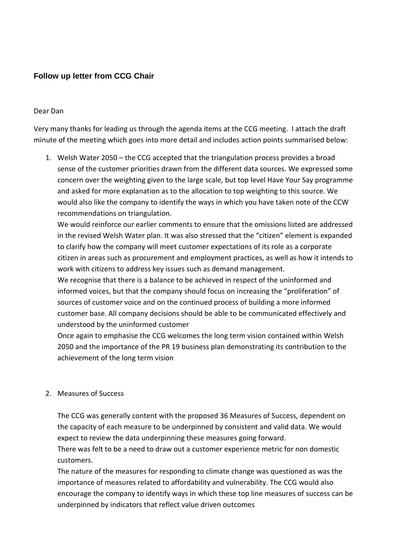# **Follow up letter from CCG Chair**

#### Dear Dan

Very many thanks for leading us through the agenda items at the CCG meeting. I attach the draft minute of the meeting which goes into more detail and includes action points summarised below:

1. Welsh Water 2050 – the CCG accepted that the triangulation process provides a broad sense of the customer priorities drawn from the different data sources. We expressed some concern over the weighting given to the large scale, but top level Have Your Say programme and asked for more explanation as to the allocation to top weighting to this source. We would also like the company to identify the ways in which you have taken note of the CCW recommendations on triangulation.

We would reinforce our earlier comments to ensure that the omissions listed are addressed in the revised Welsh Water plan. It was also stressed that the "citizen" element is expanded to clarify how the company will meet customer expectations of its role as a corporate citizen in areas such as procurement and employment practices, as well as how it intends to work with citizens to address key issues such as demand management.

We recognise that there is a balance to be achieved in respect of the uninformed and informed voices, but that the company should focus on increasing the "proliferation" of sources of customer voice and on the continued process of building a more informed customer base. All company decisions should be able to be communicated effectively and understood by the uninformed customer

Once again to emphasise the CCG welcomes the long term vision contained within Welsh 2050 and the importance of the PR 19 business plan demonstrating its contribution to the achievement of the long term vision

#### 2. Measures of Success

The CCG was generally content with the proposed 36 Measures of Success, dependent on the capacity of each measure to be underpinned by consistent and valid data. We would expect to review the data underpinning these measures going forward.

There was felt to be a need to draw out a customer experience metric for non domestic customers.

The nature of the measures for responding to climate change was questioned as was the importance of measures related to affordability and vulnerability. The CCG would also encourage the company to identify ways in which these top line measures of success can be underpinned by indicators that reflect value driven outcomes